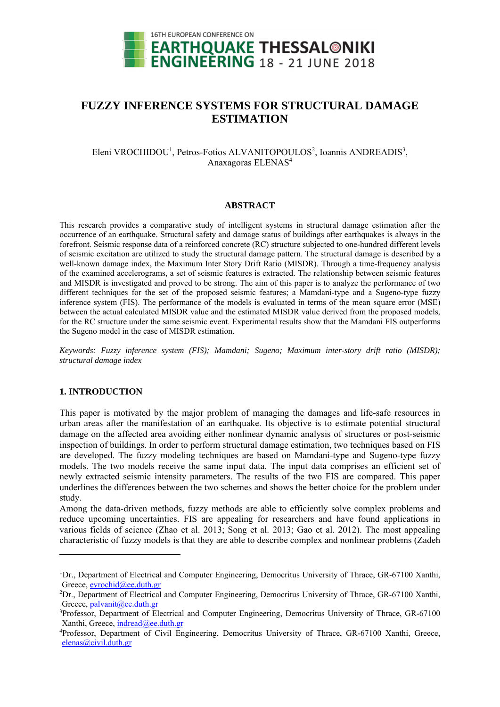

# **FUZZY INFERENCE SYSTEMS FOR STRUCTURAL DAMAGE ESTIMATION**

Eleni VROCHIDOU<sup>1</sup>, Petros-Fotios ALVANITOPOULOS<sup>2</sup>, Ioannis ANDREADIS<sup>3</sup>, Anaxagoras ELENAS<sup>4</sup>

### **ABSTRACT**

This research provides a comparative study of intelligent systems in structural damage estimation after the occurrence of an earthquake. Structural safety and damage status of buildings after earthquakes is always in the forefront. Seismic response data of a reinforced concrete (RC) structure subjected to one-hundred different levels of seismic excitation are utilized to study the structural damage pattern. The structural damage is described by a well-known damage index, the Maximum Inter Story Drift Ratio (MISDR). Through a time-frequency analysis of the examined accelerograms, a set of seismic features is extracted. The relationship between seismic features and MISDR is investigated and proved to be strong. The aim of this paper is to analyze the performance of two different techniques for the set of the proposed seismic features; a Mamdani-type and a Sugeno-type fuzzy inference system (FIS). The performance of the models is evaluated in terms of the mean square error (MSE) between the actual calculated MISDR value and the estimated MISDR value derived from the proposed models, for the RC structure under the same seismic event. Experimental results show that the Mamdani FIS outperforms the Sugeno model in the case of MISDR estimation.

*Keywords: Fuzzy inference system (FIS); Mamdani; Sugeno; Maximum inter-story drift ratio (MISDR); structural damage index* 

### **1. INTRODUCTION**

1

This paper is motivated by the major problem of managing the damages and life-safe resources in urban areas after the manifestation of an earthquake. Its objective is to estimate potential structural damage on the affected area avoiding either nonlinear dynamic analysis of structures or post-seismic inspection of buildings. In order to perform structural damage estimation, two techniques based on FIS are developed. The fuzzy modeling techniques are based on Mamdani-type and Sugeno-type fuzzy models. The two models receive the same input data. The input data comprises an efficient set of newly extracted seismic intensity parameters. The results of the two FIS are compared. This paper underlines the differences between the two schemes and shows the better choice for the problem under study.

Among the data-driven methods, fuzzy methods are able to efficiently solve complex problems and reduce upcoming uncertainties. FIS are appealing for researchers and have found applications in various fields of science (Zhao et al. 2013; Song et al. 2013; Gao et al. 2012). The most appealing characteristic of fuzzy models is that they are able to describe complex and nonlinear problems (Zadeh

<sup>&</sup>lt;sup>1</sup>Dr., Department of Electrical and Computer Engineering, Democritus University of Thrace, GR-67100 Xanthi, Greece, evrochid@ee.duth.gr

 ${}^{2}Dr$ ., Department of Electrical and Computer Engineering, Democritus University of Thrace, GR-67100 Xanthi, Greece, palvanit@ee.duth.gr

<sup>3</sup> Professor, Department of Electrical and Computer Engineering, Democritus University of Thrace, GR-67100 Xanthi, Greece, indread@ee.duth.gr

<sup>4</sup> Professor, Department of Civil Engineering, Democritus University of Thrace, GR-67100 Xanthi, Greece, elenas@civil.duth.gr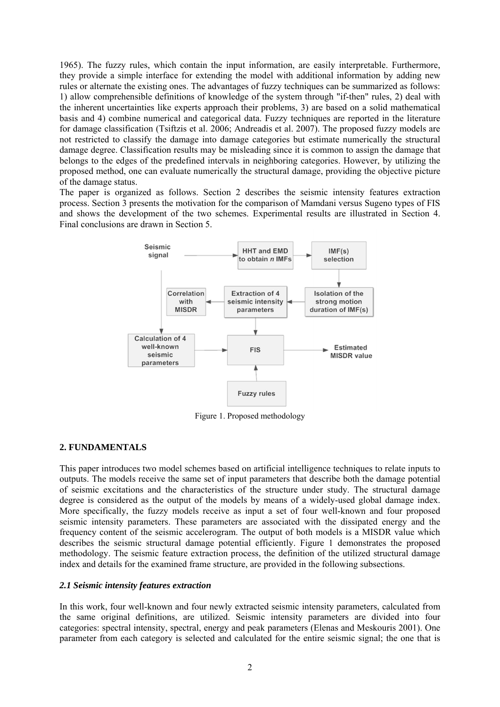1965). The fuzzy rules, which contain the input information, are easily interpretable. Furthermore, they provide a simple interface for extending the model with additional information by adding new rules or alternate the existing ones. The advantages of fuzzy techniques can be summarized as follows: 1) allow comprehensible definitions of knowledge of the system through "if-then" rules, 2) deal with the inherent uncertainties like experts approach their problems, 3) are based on a solid mathematical basis and 4) combine numerical and categorical data. Fuzzy techniques are reported in the literature for damage classification (Tsiftzis et al. 2006; Andreadis et al. 2007). The proposed fuzzy models are not restricted to classify the damage into damage categories but estimate numerically the structural damage degree. Classification results may be misleading since it is common to assign the damage that belongs to the edges of the predefined intervals in neighboring categories. However, by utilizing the proposed method, one can evaluate numerically the structural damage, providing the objective picture of the damage status.

The paper is organized as follows. Section 2 describes the seismic intensity features extraction process. Section 3 presents the motivation for the comparison of Mamdani versus Sugeno types of FIS and shows the development of the two schemes. Experimental results are illustrated in Section 4. Final conclusions are drawn in Section 5.



Figure 1. Proposed methodology

# **2. FUNDAMENTALS**

This paper introduces two model schemes based on artificial intelligence techniques to relate inputs to outputs. The models receive the same set of input parameters that describe both the damage potential of seismic excitations and the characteristics of the structure under study. The structural damage degree is considered as the output of the models by means of a widely-used global damage index. More specifically, the fuzzy models receive as input a set of four well-known and four proposed seismic intensity parameters. These parameters are associated with the dissipated energy and the frequency content of the seismic accelerogram. The output of both models is a MISDR value which describes the seismic structural damage potential efficiently. Figure 1 demonstrates the proposed methodology. The seismic feature extraction process, the definition of the utilized structural damage index and details for the examined frame structure, are provided in the following subsections.

# *2.1 Seismic intensity features extraction*

In this work, four well-known and four newly extracted seismic intensity parameters, calculated from the same original definitions, are utilized. Seismic intensity parameters are divided into four categories: spectral intensity, spectral, energy and peak parameters (Elenas and Meskouris 2001). One parameter from each category is selected and calculated for the entire seismic signal; the one that is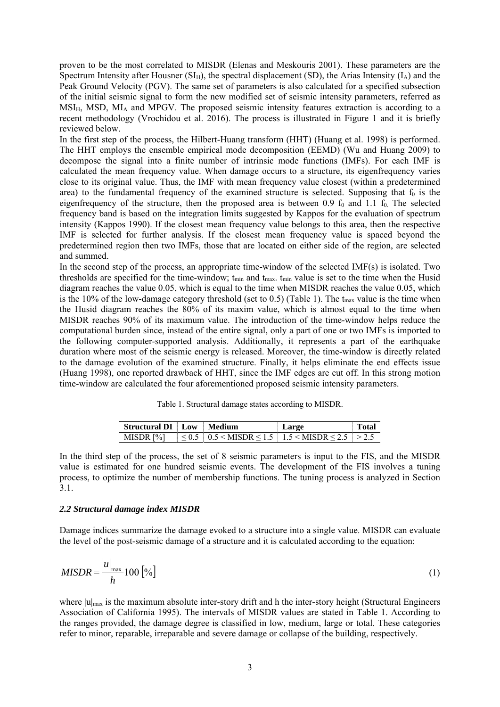proven to be the most correlated to MISDR (Elenas and Meskouris 2001). These parameters are the Spectrum Intensity after Housner  $(SI_H)$ , the spectral displacement (SD), the Arias Intensity ( $I_A$ ) and the Peak Ground Velocity (PGV). The same set of parameters is also calculated for a specified subsection of the initial seismic signal to form the new modified set of seismic intensity parameters, referred as  $MSI_{H}$ , MSD, MI<sub>A</sub> and MPGV. The proposed seismic intensity features extraction is according to a recent methodology (Vrochidou et al. 2016). The process is illustrated in Figure 1 and it is briefly reviewed below.

In the first step of the process, the Hilbert-Huang transform (HHT) (Huang et al. 1998) is performed. The HHT employs the ensemble empirical mode decomposition (EEMD) (Wu and Huang 2009) to decompose the signal into a finite number of intrinsic mode functions (IMFs). For each IMF is calculated the mean frequency value. When damage occurs to a structure, its eigenfrequency varies close to its original value. Thus, the IMF with mean frequency value closest (within a predetermined area) to the fundamental frequency of the examined structure is selected. Supposing that  $f_0$  is the eigenfrequency of the structure, then the proposed area is between  $0.9 \text{ f}_0$  and  $1.1 \text{ f}_0$ . The selected frequency band is based on the integration limits suggested by Kappos for the evaluation of spectrum intensity (Kappos 1990). If the closest mean frequency value belongs to this area, then the respective IMF is selected for further analysis. If the closest mean frequency value is spaced beyond the predetermined region then two IMFs, those that are located on either side of the region, are selected and summed.

In the second step of the process, an appropriate time-window of the selected IMF(s) is isolated. Two thresholds are specified for the time-window;  $t_{\text{min}}$  and  $t_{\text{max}}$ .  $t_{\text{min}}$  value is set to the time when the Husid diagram reaches the value 0.05, which is equal to the time when MISDR reaches the value 0.05, which is the 10% of the low-damage category threshold (set to 0.5) (Table 1). The  $t_{\text{max}}$  value is the time when the Husid diagram reaches the 80% of its maxim value, which is almost equal to the time when MISDR reaches 90% of its maximum value. The introduction of the time-window helps reduce the computational burden since, instead of the entire signal, only a part of one or two IMFs is imported to the following computer-supported analysis. Additionally, it represents a part of the earthquake duration where most of the seismic energy is released. Moreover, the time-window is directly related to the damage evolution of the examined structure. Finally, it helps eliminate the end effects issue (Huang 1998), one reported drawback of HHT, since the IMF edges are cut off. In this strong motion time-window are calculated the four aforementioned proposed seismic intensity parameters.

Table 1. Structural damage states according to MISDR.

| <b>Structural DI</b> Low | Medium                                  | Large | Total |
|--------------------------|-----------------------------------------|-------|-------|
| MISDR [%]                | $0.5 < MISDR < 1.5$   1.5 < MISDR < 2.5 |       |       |

In the third step of the process, the set of 8 seismic parameters is input to the FIS, and the MISDR value is estimated for one hundred seismic events. The development of the FIS involves a tuning process, to optimize the number of membership functions. The tuning process is analyzed in Section 3.1.

### *2.2 Structural damage index MISDR*

Damage indices summarize the damage evoked to a structure into a single value. MISDR can evaluate the level of the post-seismic damage of a structure and it is calculated according to the equation:

$$
MISDR = \frac{|u|_{\text{max}}}{h} 100 [^{\circ}\text{O}]
$$
 (1)

where  $|u|_{max}$  is the maximum absolute inter-story drift and h the inter-story height (Structural Engineers Association of California 1995). The intervals of MISDR values are stated in Table 1. According to the ranges provided, the damage degree is classified in low, medium, large or total. These categories refer to minor, reparable, irreparable and severe damage or collapse of the building, respectively.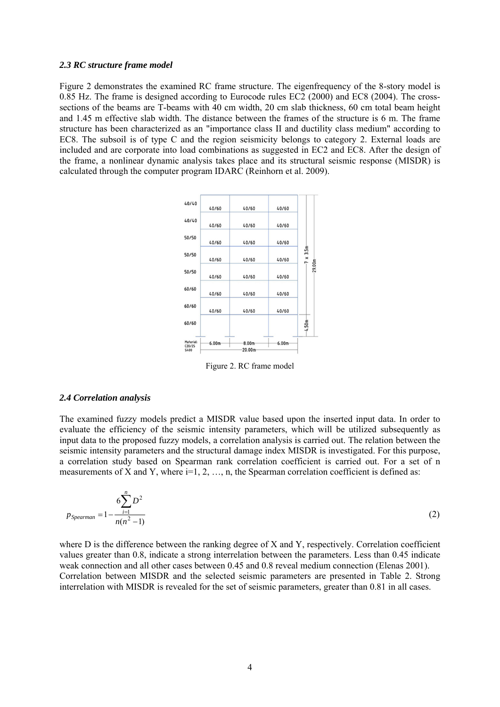### *2.3 RC structure frame model*

Figure 2 demonstrates the examined RC frame structure. The eigenfrequency of the 8-story model is 0.85 Hz. The frame is designed according to Eurocode rules EC2 (2000) and EC8 (2004). The crosssections of the beams are T-beams with 40 cm width, 20 cm slab thickness, 60 cm total beam height and 1.45 m effective slab width. The distance between the frames of the structure is 6 m. The frame structure has been characterized as an "importance class II and ductility class medium" according to EC8. The subsoil is of type C and the region seismicity belongs to category 2. External loads are included and are corporate into load combinations as suggested in EC2 and EC8. After the design of the frame, a nonlinear dynamic analysis takes place and its structural seismic response (MISDR) is calculated through the computer program IDARC (Reinhorn et al. 2009).



Figure 2. RC frame model

#### *2.4 Correlation analysis*

The examined fuzzy models predict a MISDR value based upon the inserted input data. In order to evaluate the efficiency of the seismic intensity parameters, which will be utilized subsequently as input data to the proposed fuzzy models, a correlation analysis is carried out. The relation between the seismic intensity parameters and the structural damage index MISDR is investigated. For this purpose, a correlation study based on Spearman rank correlation coefficient is carried out. For a set of n measurements of X and Y, where  $i=1, 2, ..., n$ , the Spearman correlation coefficient is defined as:

$$
p_{Spearman} = 1 - \frac{6\sum_{i=1}^{n} D^2}{n(n^2 - 1)}
$$
 (2)

where D is the difference between the ranking degree of X and Y, respectively. Correlation coefficient values greater than 0.8, indicate a strong interrelation between the parameters. Less than 0.45 indicate weak connection and all other cases between 0.45 and 0.8 reveal medium connection (Elenas 2001). Correlation between MISDR and the selected seismic parameters are presented in Table 2. Strong interrelation with MISDR is revealed for the set of seismic parameters, greater than 0.81 in all cases.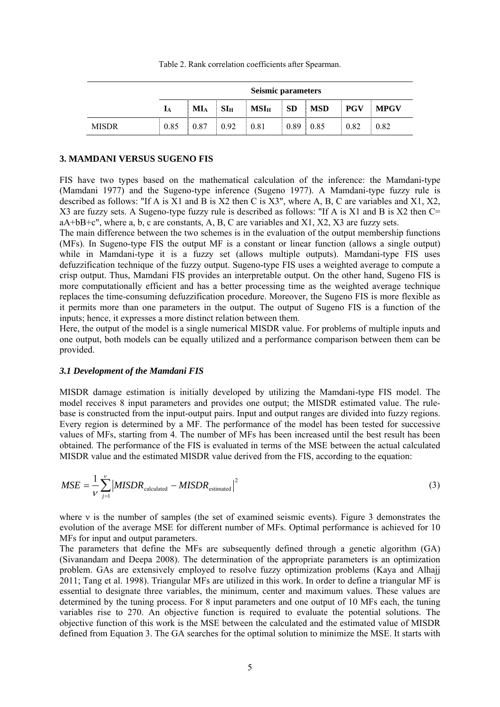Table 2. Rank correlation coefficients after Spearman.

|              | Seismic parameters |        |              |                  |           |            |            |             |
|--------------|--------------------|--------|--------------|------------------|-----------|------------|------------|-------------|
|              | 1 <sub>A</sub>     | $MI_A$ | $SI_{\rm H}$ | MSI <sub>H</sub> | <b>SD</b> | <b>MSD</b> | <b>PGV</b> | <b>MPGV</b> |
| <b>MISDR</b> | 0.85               | 0.87   | 0.92         | 0.81             | 0.89      | 0.85       | 0.82       | 0.82        |

#### **3. MAMDANI VERSUS SUGENO FIS**

FIS have two types based on the mathematical calculation of the inference: the Mamdani-type (Mamdani 1977) and the Sugeno-type inference (Sugeno 1977). A Mamdani-type fuzzy rule is described as follows: "If A is X1 and B is X2 then C is X3", where A, B, C are variables and X1, X2, X3 are fuzzy sets. A Sugeno-type fuzzy rule is described as follows: "If A is X1 and B is X2 then C= aA+bB+c", where a, b, c are constants, A, B, C are variables and X1, X2, X3 are fuzzy sets.

The main difference between the two schemes is in the evaluation of the output membership functions (MFs). In Sugeno-type FIS the output MF is a constant or linear function (allows a single output) while in Mamdani-type it is a fuzzy set (allows multiple outputs). Mamdani-type FIS uses defuzzification technique of the fuzzy output. Sugeno-type FIS uses a weighted average to compute a crisp output. Thus, Mamdani FIS provides an interpretable output. On the other hand, Sugeno FIS is more computationally efficient and has a better processing time as the weighted average technique replaces the time-consuming defuzzification procedure. Moreover, the Sugeno FIS is more flexible as it permits more than one parameters in the output. The output of Sugeno FIS is a function of the inputs; hence, it expresses a more distinct relation between them.

Here, the output of the model is a single numerical MISDR value. For problems of multiple inputs and one output, both models can be equally utilized and a performance comparison between them can be provided.

#### *3.1 Development of the Mamdani FIS*

MISDR damage estimation is initially developed by utilizing the Mamdani-type FIS model. The model receives 8 input parameters and provides one output; the MISDR estimated value. The rulebase is constructed from the input-output pairs. Input and output ranges are divided into fuzzy regions. Every region is determined by a MF. The performance of the model has been tested for successive values of MFs, starting from 4. The number of MFs has been increased until the best result has been obtained. The performance of the FIS is evaluated in terms of the MSE between the actual calculated MISDR value and the estimated MISDR value derived from the FIS, according to the equation:

$$
MSE = \frac{1}{V} \sum_{j=1}^{V} \left| MISDR_{\text{calculated}} - MISDR_{\text{estimated}} \right|^2 \tag{3}
$$

where ν is the number of samples (the set of examined seismic events). Figure 3 demonstrates the evolution of the average MSE for different number of MFs. Optimal performance is achieved for 10 MFs for input and output parameters.

The parameters that define the MFs are subsequently defined through a genetic algorithm (GA) (Sivanandam and Deepa 2008). The determination of the appropriate parameters is an optimization problem. GAs are extensively employed to resolve fuzzy optimization problems (Kaya and Alhajj 2011; Tang et al. 1998). Triangular MFs are utilized in this work. In order to define a triangular MF is essential to designate three variables, the minimum, center and maximum values. These values are determined by the tuning process. For 8 input parameters and one output of 10 MFs each, the tuning variables rise to 270. An objective function is required to evaluate the potential solutions. The objective function of this work is the MSE between the calculated and the estimated value of MISDR defined from Equation 3. The GA searches for the optimal solution to minimize the MSE. It starts with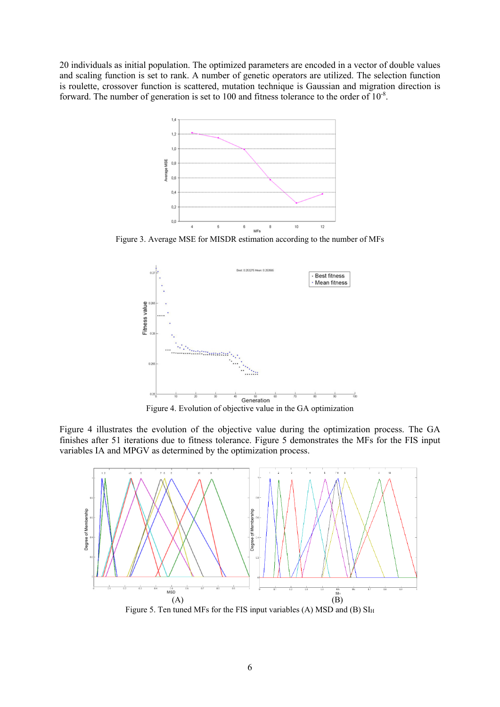20 individuals as initial population. The optimized parameters are encoded in a vector of double values and scaling function is set to rank. A number of genetic operators are utilized. The selection function is roulette, crossover function is scattered, mutation technique is Gaussian and migration direction is forward. The number of generation is set to 100 and fitness tolerance to the order of  $10^{-8}$ .



Figure 3. Average MSE for MISDR estimation according to the number of MFs



Figure 4 illustrates the evolution of the objective value during the optimization process. The GA finishes after 51 iterations due to fitness tolerance. Figure 5 demonstrates the MFs for the FIS input variables IA and ΜPGV as determined by the optimization process.



Figure 5. Ten tuned MFs for the FIS input variables (A) MSD and (B)  $SI<sub>H</sub>$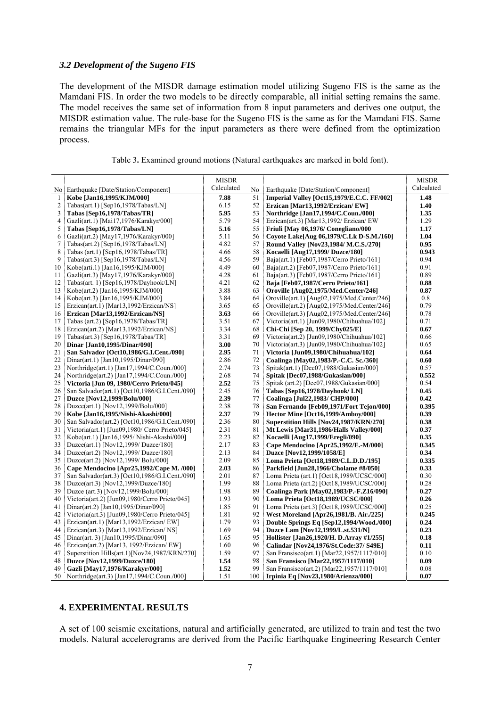### *3.2 Development of the Sugeno FIS*

The development of the MISDR damage estimation model utilizing Sugeno FIS is the same as the Mamdani FIS. In order the two models to be directly comparable, all initial setting remains the same. The model receives the same set of information from 8 input parameters and derives one output, the MISDR estimation value. The rule-base for the Sugeno FIS is the same as for the Mamdani FIS. Same remains the triangular MFs for the input parameters as there were defined from the optimization process.

|    |                                                | <b>MISDR</b> |     |                                             | <b>MISDR</b> |
|----|------------------------------------------------|--------------|-----|---------------------------------------------|--------------|
|    | No Earthquake [Date/Station/Component]         | Calculated   | No  | Earthquake [Date/Station/Component]         | Calculated   |
| 1  | Kobe [Jan16,1995/KJM/000]                      | 7.88         | 51  | Imperial Valley [Oct15,1979/E.C.C. FF/002]  | 1.48         |
| 2  | $Tabas(\text{art.1})$ [Sep16,1978/Tabas/LN]    | 6.15         | 52  | Erzican [Mar13,1992/Erzican/EW]             | 1.40         |
| 3  | Tabas [Sep16,1978/Tabas/TR]                    | 5.95         | 53  | Northridge [Jan17,1994/C.Coun./000]         | 1.35         |
| 4  | Gazli(art.1) [Mai17,1976/Karakyr/000]          | 5.79         | 54  | Erzican(art.3) [Mar13,1992/ Erzican/ EW     | 1.29         |
| 5  | Tabas [Sep16,1978/Tabas/LN]                    | 5.16         | 55  | Friuli [May 06,1976/ Conegliano/000         | 1.17         |
| 6  | Gazli(art.2) [May17,1976/Karakyr/000]          | 5.11         | 56  | Coyote Lake[Aug 06,1979/C.Lk D-S.M./160]    | 1.04         |
| 7  | $Tabas(\text{art.2})$ [Sep16,1978/Tabas/LN]    | 4.82         | 57  | Round Valley [Nov23,1984/ M.C.S./270]       | 0.95         |
| 8  | Tabas (art.1) [Sep16,1978/Tabas/TR]            | 4.66         | 58  | Kocaelli [Aug17,1999/ Duzce/180]            | 0.943        |
| 9  | $Tabas(\text{art.3})$ [Sep16,1978/Tabas/LN]    | 4.56         | 59  | Baja(art.1) [Feb07,1987/Cerro Prieto/161]   | 0.94         |
| 10 | Kobe(arti.1) [Jan16,1995/KJM/000]              | 4.49         | 60  | Baja(art.2) [Feb07,1987/Cerro Prieto/161]   | 0.91         |
| 11 | Gazli(art.3) [May17,1976/Karakyr/000]          | 4.28         | 61  | Baja(art.3) [Feb07,1987/Cerro Prieto/161]   | 0.89         |
| 12 | Tabas(art. 1) [Sep16,1978/Dayhook/LN]          | 4.21         | 62  | Baja [Feb07,1987/Cerro Prieto/161]          | 0.88         |
| 13 | Kobe(art.2) [Jan16,1995/KJM/000]               | 3.88         | 63  | Oroville [Aug02,1975/Med.Center/246]        | 0.87         |
| 14 | Kobe(art.3) [Jan16,1995/KJM/000]               | 3.84         | 64  | Oroville(art.1) [Aug02,1975/Med.Center/246] | 0.8          |
| 15 | Erzican(art.1) [Mar13,1992/Erzican/NS]         | 3.65         | 65  | Oroville(art.2) [Aug02,1975/Med.Center/246] | 0.79         |
| 16 | Erzican [Mar13,1992/Erzican/NS]                | 3.63         | 66  | Oroville(art.3) [Aug02,1975/Med.Center/246] | 0.78         |
| 17 | Tabas (art.2) [Sep16,1978/Tabas/TR]            | 3.51         | 67  | Victoria(art.1) [Jun09,1980/Chihuahua/102]  | 0.71         |
| 18 | Erzican(art.2) [Mar13,1992/Erzican/NS]         | 3.34         | 68  | Chi-Chi [Sep 20, 1999/Chy025/E]             | 0.67         |
| 19 | $Tabas(\text{art.3})$ [Sep16,1978/Tabas/TR]    | 3.31         | 69  | Victoria(art.2) [Jun09,1980/Chihuahua/102]  | 0.66         |
| 20 | Dinar [Jan10,1995/Dinar/090]                   | 3.00         | 70  | Victoria(art.3) [Jun09,1980/Chihuahua/102]  | 0.65         |
| 21 | San Salvador [Oct10,1986/G.I.Cent./090]        | 2.95         | 71  | Victoria [Jun09,1980/Chihuahua/102]         | 0.64         |
| 22 | Dinar(art.1) [Jan10,1995/Dinar/090]            | 2.86         | 72  | Coalinga [May02,1983/P.-C.C. Sc./360]       | 0.60         |
| 23 | Northridge(art.1) [Jan17,1994/C.Coun./000]     | 2.74         | 73  | Spitak(art.1) [Dec07,1988/Gukasian/000]     | 0.57         |
| 24 | Northridge(art.2) [Jan17,1994/C.Coun./000]     | 2.68         | 74  | Spitak [Dec07,1988/Gukasian/000]            | 0.552        |
| 25 | Victoria [Jun 09, 1980/Cerro Prieto/045]       | 2.52         | 75  | Spitak (art.2) [Dec07,1988/Gukasian/000]    | 0.54         |
| 26 | San Salvador(art.1) [Oct10,1986/G.I.Cent./090] | 2.45         | 76  | Tabas [Sep16,1978/Dayhook/LN]               | 0.45         |
| 27 | Duzce [Nov12,1999/Bolu/000]                    | 2.39         | 77  | Coalinga [Jul22,1983/ CHP/000]              | 0.42         |
| 28 | Duzce(art.1) [Nov12,1999/Bolu/000]             | 2.38         | 78  | San Fernando [Feb09,1971/Fort Tejon/000]    | 0.395        |
| 29 | Kobe [Jan16,1995/Nishi-Akashi/000]             | 2.37         | 79  | Hector Mine [Oct16,1999/Amboy/000]          | 0.39         |
| 30 | San Salvador(art.2) [Oct10,1986/G.I.Cent./090] | 2.36         | 80  | Superstition Hills [Nov24,1987/KRN/270]     | 0.38         |
| 31 | Victoria(art.1) [Jun09,1980/ Cerro Prieto/045] | 2.31         | 81  | Mt Lewis [Mar31,1986/Halls Valley/000]      | 0.37         |
| 32 | Kobe(art.1) [Jan16,1995/Nishi-Akashi/000]      | 2.23         | 82  | Kocaelli [Aug17,1999/Eregli/090]            | 0.35         |
| 33 | Duzce(art.1) [Nov12,1999/ Duzce/180]           | 2.17         | 83  | Cape Mendocino [Apr25,1992/E.-M/000]        | 0.345        |
| 34 | Duzce(art.2) [Nov12,1999/ Duzce/180]           | 2.13         | 84  | Duzce [Nov12,1999/1058/E]                   | 0.34         |
| 35 | Duzce(art.2) [Nov12,1999/ Bolu/000]            | 2.09         | 85  | Loma Prieta [Oct18,1989/C.L.D.D./195]       | 0.335        |
| 36 | Cape Mendocino [Apr25,1992/Cape M. /000]       | 2.03         | 86  | Parkfield [Jun28,1966/Cholame #8/050]       | 0.33         |
| 37 | San Salvador(art.3) [Oct10,1986/G.I.Cent./090] | 2.01         | 87  | Loma Prieta (art.1) [Oct18,1989/UCSC/000]   | 0.30         |
| 38 | Duzce(art.3) [Nov12,1999/Duzce/180]            | 1.99         | 88  | Loma Prieta (art.2) [Oct18,1989/UCSC/000]   | 0.28         |
| 39 | Duzce (art.3) [Nov12,1999/Bolu/000]            | 1.98         | 89  | Coalinga Park [May02,1983/P.-F.Z16/090]     | 0.27         |
| 40 | Victoria(art.2) [Jun09,1980/Cerro Prieto/045]  | 1.93         | 90  | Loma Prieta [Oct18,1989/UCSC/000]           | 0.26         |
| 41 | Dinar(art.2) [Jan10,1995/Dinar/090]            | 1.85         | 91  | Loma Prieta (art.3) [Oct18,1989/UCSC/000]   | 0.25         |
| 42 | Victoria(art.3) [Jun09,1980/Cerro Prieto/045]  | 1.81         | 92  | West Moreland [Apr26,1981/B. Air./225]      | 0.245        |
| 43 | Erzican(art.1) [Mar13,1992/Erzican/ EW]        | 1.79         | 93  | Double Springs Eq [Sep12,1994/Wood./000]    | 0.24         |
| 44 | Erzican(art.3) [Mar13,1992/Erzican/ NS]        | 1.69         | 94  | Duzce Lam [Nov12,1999/L.st.531/N]           | 0.23         |
| 45 | Dinar(art. 3) [Jan10,1995/Dinar/090]           | 1.65         | 95  | Hollister [Jan26,1920/H. D.Array #1/255]    | 0.18         |
| 46 | Erzican(art.2) [Mar13, 1992/Erzican/ EW]       | 1.60         | 96  | Calindar [Nov24,1976/St.Code:37/ S49E]      | 0.11         |
| 47 | Superstition Hills(art.1)[Nov24,1987/KRN/270]  | 1.59         | 97  | San Fransisco(art.1) [Mar22,1957/1117/010]  | 0.10         |
| 48 | Duzce [Nov12,1999/Duzce/180]                   | 1.54         | 98  | San Fransisco [Mar22,1957/1117/010]         | 0.09         |
| 49 | Gazli [May17,1976/Karakyr/000]                 | 1.52         | 99  | San Fransisco(art.2) [Mar22,1957/1117/010]  | 0.08         |
| 50 | Northridge(art.3) [Jan17,1994/C.Coun./000]     | 1.51         | 100 | Irpinia Eq [Nov23,1980/Arienza/000]         | 0.07         |

| Table 3. Examined ground motions (Natural earthquakes are marked in bold font). |  |  |  |
|---------------------------------------------------------------------------------|--|--|--|
|                                                                                 |  |  |  |

# **4. EXPERIMENTAL RESULTS**

A set of 100 seismic excitations, natural and artificially generated, are utilized to train and test the two models. Natural accelerograms are derived from the Pacific Earthquake Engineering Research Center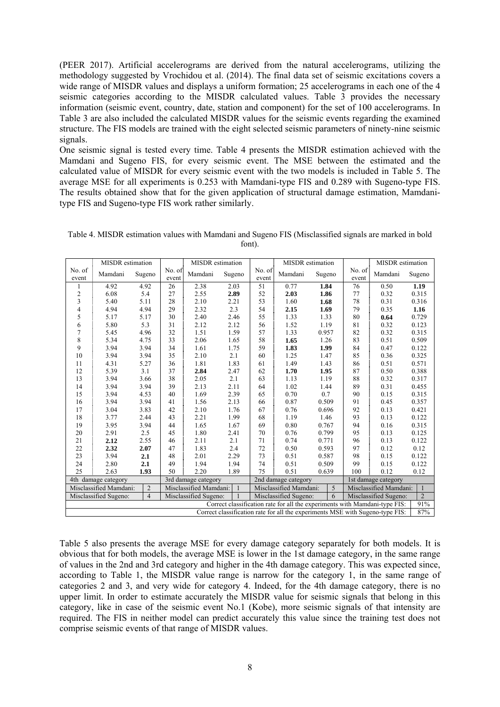(PEER 2017). Artificial accelerograms are derived from the natural accelerograms, utilizing the methodology suggested by Vrochidou et al. (2014). The final data set of seismic excitations covers a wide range of MISDR values and displays a uniform formation; 25 accelerograms in each one of the 4 seismic categories according to the MISDR calculated values. Table 3 provides the necessary information (seismic event, country, date, station and component) for the set of 100 accelerograms. In Table 3 are also included the calculated MISDR values for the seismic events regarding the examined structure. The FIS models are trained with the eight selected seismic parameters of ninety-nine seismic signals.

One seismic signal is tested every time. Table 4 presents the MISDR estimation achieved with the Mamdani and Sugeno FIS, for every seismic event. The MSE between the estimated and the calculated value of MISDR for every seismic event with the two models is included in Table 5. The average MSE for all experiments is 0.253 with Mamdani-type FIS and 0.289 with Sugeno-type FIS. The results obtained show that for the given application of structural damage estimation, Mamdanitype FIS and Sugeno-type FIS work rather similarly.

|                                                                                      | MISDR estimation       |                |                     | MISDR estimation                                                        |                     |                 | <b>MISDR</b> estimation |                        |                     | MISDR estimation                                                           |                |
|--------------------------------------------------------------------------------------|------------------------|----------------|---------------------|-------------------------------------------------------------------------|---------------------|-----------------|-------------------------|------------------------|---------------------|----------------------------------------------------------------------------|----------------|
| No. of<br>event                                                                      | Mamdani                | Sugeno         | No. $of$<br>event   | Mamdani                                                                 | Sugeno              | No. of<br>event | Mamdani                 | Sugeno                 | No. of<br>event     | Mamdani                                                                    | Sugeno         |
|                                                                                      | 4.92                   | 4.92           | 26                  | 2.38                                                                    | 2.03                | 51              | 0.77                    | 1.84                   | 76                  | 0.50                                                                       | 1.19           |
| $\overline{2}$                                                                       | 6.08                   | 5.4            | 27                  | 2.55                                                                    | 2.89                | 52              | 2.03                    | 1.86                   | 77                  | 0.32                                                                       | 0.315          |
| 3                                                                                    | 5.40                   | 5.11           | 28                  | 2.10                                                                    | 2.21                | 53              | 1.60                    | 1.68                   | 78                  | 0.31                                                                       | 0.316          |
| 4                                                                                    | 4.94                   | 4.94           | 29                  | 2.32                                                                    | $2.3\,$             | 54              | 2.15                    | 1.69                   | 79                  | 0.35                                                                       | 1.16           |
| 5                                                                                    | 5.17                   | 5.17           | 30                  | 2.40                                                                    | 2.46                | 55              | 1.33                    | 1.33                   | $\bf 80$            | 0.64                                                                       | 0.729          |
| 6                                                                                    | 5.80                   | 5.3            | 31                  | 2.12                                                                    | 2.12                | 56              | 1.52                    | 1.19                   | 81                  | 0.32                                                                       | 0.123          |
| 7                                                                                    | 5.45                   | 4.96           | 32                  | 1.51                                                                    | 1.59                | 57              | 1.33                    | 0.957                  | 82                  | 0.32                                                                       | 0.315          |
| 8                                                                                    | 5.34                   | 4.75           | 33                  | 2.06                                                                    | 1.65                | 58              | 1.65                    | 1.26                   | 83                  | 0.51                                                                       | 0.509          |
| 9                                                                                    | 3.94                   | 3.94           | 34                  | 1.61                                                                    | 1.75                | 59              | 1.83                    | 1.99                   | 84                  | 0.47                                                                       | 0.122          |
| 10                                                                                   | 3.94                   | 3.94           | 35                  | 2.10                                                                    | 2.1                 | 60              | 1.25                    | 1.47                   | 85                  | 0.36                                                                       | 0.325          |
| 11                                                                                   | 4.31                   | 5.27           | 36                  | 1.81                                                                    | 1.83                | 61              | 1.49                    | 1.43                   | 86                  | 0.51                                                                       | 0.571          |
| 12                                                                                   | 5.39                   | 3.1            | 37                  | 2.84                                                                    | 2.47                | 62              | 1.70                    | 1.95                   | 87                  | 0.50                                                                       | 0.388          |
| 13                                                                                   | 3.94                   | 3.66           | 38                  | 2.05                                                                    | 2.1                 | 63              | 1.13                    | 1.19                   | 88                  | 0.32                                                                       | 0.317          |
| 14                                                                                   | 3.94                   | 3.94           | 39                  | 2.13                                                                    | 2.11                | 64              | 1.02                    | 1.44                   | 89                  | 0.31                                                                       | 0.455          |
| 15                                                                                   | 3.94                   | 4.53           | 40                  | 1.69                                                                    | 2.39                | 65              | 0.70                    | 0.7                    | 90                  | 0.15                                                                       | 0.315          |
| 16                                                                                   | 3.94                   | 3.94           | 41                  | 1.56                                                                    | 2.13                | 66              | 0.87                    | 0.509                  | 91                  | 0.45                                                                       | 0.357          |
| 17                                                                                   | 3.04                   | 3.83           | 42                  | 2.10                                                                    | 1.76                | 67              | 0.76                    | 0.696                  | 92                  | 0.13                                                                       | 0.421          |
| 18                                                                                   | 3.77                   | 2.44           | 43                  | 2.21                                                                    | 1.99                | 68              | 1.19                    | 1.46                   | 93                  | 0.13                                                                       | 0.122          |
| 19                                                                                   | 3.95                   | 3.94           | 44                  | 1.65                                                                    | 1.67                | 69              | 0.80                    | 0.767                  | 94                  | 0.16                                                                       | 0.315          |
| 20                                                                                   | 2.91                   | 2.5            | 45                  | 1.80                                                                    | 2.41                | $70\,$          | 0.76                    | 0.799                  | 95                  | 0.13                                                                       | 0.125          |
| 21                                                                                   | 2.12                   | 2.55           | 46                  | 2.11                                                                    | 2.1                 | 71              | 0.74                    | 0.771                  | 96                  | 0.13                                                                       | 0.122          |
| 22                                                                                   | 2.32                   | 2.07           | 47                  | 1.83                                                                    | 2.4                 | $72\,$          | 0.50                    | 0.593                  | 97                  | 0.12                                                                       | 0.12           |
| 23                                                                                   | 3.94                   | 2.1            | 48                  | 2.01                                                                    | 2.29                | 73              | 0.51                    | 0.587                  | 98                  | 0.15                                                                       | 0.122          |
| 24                                                                                   | 2.80                   | 2.1            | 49                  | 1.94                                                                    | 1.94                | 74              | 0.51                    | 0.509                  | 99                  | 0.15                                                                       | 0.122          |
| 25                                                                                   | 2.63                   | 1.93           | 50                  | 2.20                                                                    | 1.89                | 75              | 0.51                    | 0.639                  | 100                 | 0.12                                                                       | 0.12           |
|                                                                                      | 4th damage category    |                | 3rd damage category |                                                                         | 2nd damage category |                 |                         |                        | 1st damage category |                                                                            |                |
|                                                                                      | Misclassified Mamdani: | $\overline{2}$ |                     | 5<br>Misclassified Mamdani:<br>$\overline{1}$<br>Misclassified Mamdani: |                     |                 |                         | Misclassified Mamdani: | $\mathbf{1}$        |                                                                            |                |
|                                                                                      | Misclassified Sugeno:  | $\overline{4}$ |                     | Misclassified Sugeno:                                                   | $\overline{1}$      |                 | Misclassified Sugeno:   | 6                      |                     | Misclassified Sugeno:                                                      | $\overline{2}$ |
|                                                                                      |                        |                |                     |                                                                         |                     |                 |                         |                        |                     | Correct classification rate for all the experiments with Mamdani-type FIS: | 91%            |
| Correct classification rate for all the experiments MSE with Sugeno-type FIS:<br>87% |                        |                |                     |                                                                         |                     |                 |                         |                        |                     |                                                                            |                |

Table 4. MISDR estimation values with Mamdani and Sugeno FIS (Misclassified signals are marked in bold font).

Table 5 also presents the average MSE for every damage category separately for both models. It is obvious that for both models, the average MSE is lower in the 1st damage category, in the same range of values in the 2nd and 3rd category and higher in the 4th damage category. This was expected since, according to Table 1, the MISDR value range is narrow for the category 1, in the same range of categories 2 and 3, and very wide for category 4. Indeed, for the 4th damage category, there is no upper limit. In order to estimate accurately the MISDR value for seismic signals that belong in this category, like in case of the seismic event No.1 (Kobe), more seismic signals of that intensity are required. The FIS in neither model can predict accurately this value since the training test does not comprise seismic events of that range of MISDR values.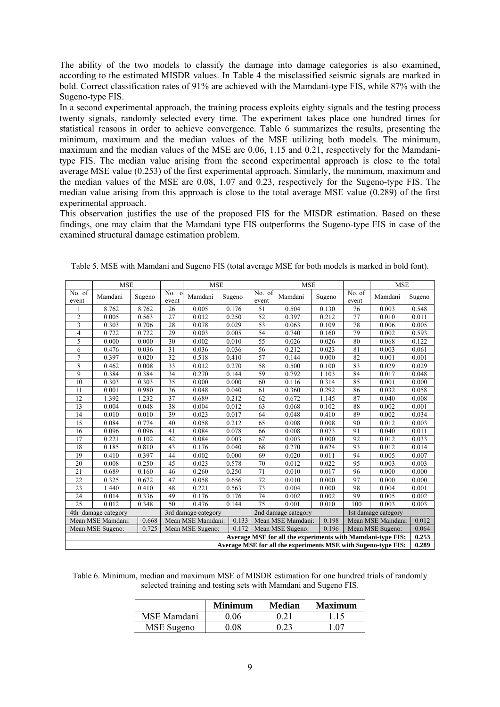The ability of the two models to classify the damage into damage categories is also examined, according to the estimated MISDR values. In Table 4 the misclassified seismic signals are marked in bold. Correct classification rates of 91% are achieved with the Mamdani-type FIS, while 87% with the Sugeno-type FIS.

In a second experimental approach, the training process exploits eighty signals and the testing process twenty signals, randomly selected every time. The experiment takes place one hundred times for statistical reasons in order to achieve convergence. Table 6 summarizes the results, presenting the minimum, maximum and the median values of the MSE utilizing both models. The minimum, maximum and the median values of the MSE are 0.06, 1.15 and 0.21, respectively for the Mamdanitype FIS. The median value arising from the second experimental approach is close to the total average MSE value (0.253) of the first experimental approach. Similarly, the minimum, maximum and the median values of the MSE are 0.08, 1.07 and 0.23, respectively for the Sugeno-type FIS. The median value arising from this approach is close to the total average MSE value (0.289) of the first experimental approach.

This observation justifies the use of the proposed FIS for the MISDR estimation. Based on these findings, one may claim that the Mamdani type FIS outperforms the Sugeno-type FIS in case of the examined structural damage estimation problem.

|                                                               | <b>MSE</b>          |        |                  | <b>MSE</b>                                 |                                                          |                 | <b>MSE</b>                                                 |        | <b>MSE</b>                   |                  |        |
|---------------------------------------------------------------|---------------------|--------|------------------|--------------------------------------------|----------------------------------------------------------|-----------------|------------------------------------------------------------|--------|------------------------------|------------------|--------|
| No. of<br>event                                               | Mamdani             | Sugeno | $No.$ 0<br>event | Mamdani                                    | Sugeno                                                   | No. of<br>event | Mamdani                                                    | Sugeno | No. $\overline{of}$<br>event | Mamdani          | Sugeno |
|                                                               | 8.762               | 8.762  | 26               | 0.005                                      | 0.176                                                    | 51              | 0.504                                                      | 0.130  | 76                           | 0.003            | 0.548  |
| $\overline{c}$                                                | 0.005               | 0.563  | 27               | 0.012                                      | 0.250                                                    | 52              | 0.397                                                      | 0.212  | 77                           | 0.010            | 0.011  |
| 3                                                             | 0.303               | 0.706  | 28               | 0.078                                      | 0.029                                                    | 53              | 0.063                                                      | 0.109  | 78                           | 0.006            | 0.005  |
| $\overline{4}$                                                | 0.722               | 0.722  | 29               | 0.003                                      | 0.005                                                    | 54              | 0.740                                                      | 0.160  | 79                           | 0.002            | 0.593  |
| 5                                                             | 0.000               | 0.000  | 30               | 0.002                                      | 0.010                                                    | 55              | 0.026                                                      | 0.026  | 80                           | 0.068            | 0.122  |
| 6                                                             | 0.476               | 0.036  | 31               | 0.036                                      | 0.036                                                    | 56              | 0.212                                                      | 0.023  | 81                           | 0.003            | 0.061  |
| $\overline{7}$                                                | 0.397               | 0.020  | 32               | 0.518                                      | 0.410                                                    | 57              | 0.144                                                      | 0.000  | 82                           | 0.001            | 0.001  |
| 8                                                             | 0.462               | 0.008  | 33               | 0.012                                      | 0.270                                                    | 58              | 0.500                                                      | 0.100  | 83                           | 0.029            | 0.029  |
| 9                                                             | 0.384               | 0.384  | 34               | 0.270                                      | 0.144                                                    | 59              | 0.792                                                      | 1.103  | 84                           | 0.017            | 0.048  |
| 10                                                            | 0.303               | 0.303  | $\overline{35}$  | 0.000                                      | 0.000                                                    | 60              | 0.116                                                      | 0.314  | 85                           | 0.001            | 0.000  |
| 11                                                            | 0.001               | 0.980  | 36               | 0.048                                      | 0.040                                                    | 61              | 0.360                                                      | 0.292  | 86                           | 0.032            | 0.058  |
| 12                                                            | 1.392               | 1.232  | 37               | 0.689                                      | 0.212                                                    | 62              | 0.672                                                      | 1.145  | 87                           | 0.040            | 0.008  |
| 13                                                            | 0.004               | 0.048  | 38               | 0.004                                      | 0.012                                                    | 63              | 0.068                                                      | 0.102  | 88                           | 0.002            | 0.001  |
| 14                                                            | 0.010               | 0.010  | 39               | 0.023                                      | 0.017                                                    | 64              | 0.048                                                      | 0.410  | 89                           | 0.002            | 0.034  |
| 15                                                            | 0.084               | 0.774  | 40               | 0.058                                      | 0.212                                                    | 65              | 0.008                                                      | 0.008  | 90                           | 0.012            | 0.003  |
| 16                                                            | 0.096               | 0.096  | 41               | 0.084                                      | 0.078                                                    | 66              | 0.008                                                      | 0.073  | 91                           | 0.040            | 0.011  |
| 17                                                            | 0.221               | 0.102  | 42               | 0.084                                      | 0.003                                                    | 67              | 0.003                                                      | 0.000  | 92                           | 0.012            | 0.033  |
| 18                                                            | 0.185               | 0.810  | 43               | 0.176                                      | 0.040                                                    | 68              | 0.270                                                      | 0.624  | 93                           | 0.012            | 0.014  |
| 19                                                            | 0.410               | 0.397  | 44               | 0.002                                      | 0.000                                                    | 69              | 0.020                                                      | 0.011  | 94                           | 0.005            | 0.007  |
| 20                                                            | 0.008               | 0.250  | 45               | 0.023                                      | 0.578                                                    | 70              | 0.012                                                      | 0.022  | 95                           | 0.003            | 0.003  |
| 21                                                            | 0.689               | 0.160  | 46               | 0.260                                      | 0.250                                                    | 71              | 0.010                                                      | 0.017  | 96                           | 0.000            | 0.000  |
| 22                                                            | 0.325               | 0.672  | 47               | 0.058                                      | 0.656                                                    | 72              | 0.010                                                      | 0.000  | 97                           | 0.000            | 0.000  |
| 23                                                            | 1.440               | 0.410  | 48               | 0.221                                      | 0.563                                                    | 73              | 0.004                                                      | 0.000  | 98                           | 0.004            | 0.001  |
| 24                                                            | 0.014               | 0.336  | 49               | 0.176                                      | 0.176                                                    | 74              | 0.002                                                      | 0.002  | 99                           | 0.005            | 0.002  |
| 25                                                            | 0.012               | 0.348  | 50               | 0.476                                      | 0.144                                                    | 75              | 0.001                                                      | 0.010  | 100                          | 0.003            | 0.003  |
|                                                               | 4th damage category |        |                  | 3rd damage category<br>2nd damage category |                                                          |                 |                                                            |        | 1st damage category          |                  |        |
|                                                               | Mean MSE Mamdani:   | 0.668  |                  | Mean MSE Mamdani:                          | 0.133<br>0.198<br>Mean MSE Mamdani:<br>Mean MSE Mamdani: |                 |                                                            |        | 0.012                        |                  |        |
|                                                               | Mean MSE Sugeno:    | 0.725  |                  | Mean MSE Sugeno:                           | 0.172                                                    |                 | Mean MSE Sugeno:                                           | 0.196  |                              | Mean MSE Sugeno: | 0.064  |
|                                                               |                     |        |                  |                                            |                                                          |                 | Average MSE for all the experiments with Mamdani-type FIS: |        |                              |                  | 0.253  |
| Average MSE for all the experiments MSE with Sugeno-type FIS: |                     |        |                  |                                            |                                                          |                 |                                                            |        |                              |                  | 0.289  |

Table 5. MSE with Mamdani and Sugeno FIS (total average MSE for both models is marked in bold font).

| Table 6. Minimum, median and maximum MSE of MISDR estimation for one hundred trials of randomly |  |  |
|-------------------------------------------------------------------------------------------------|--|--|
| selected training and testing sets with Mamdani and Sugeno FIS.                                 |  |  |

|             | <b>Minimum</b> | <b>Median</b> | Maximum |
|-------------|----------------|---------------|---------|
| MSE Mamdani | 9.06           | 0.21          | 1.15    |
| MSE Sugeno  | 0 OS           | 0.23          | 107     |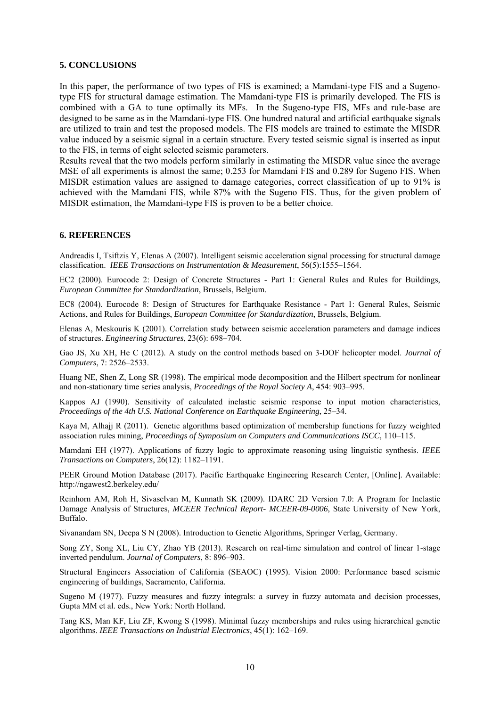### **5. CONCLUSIONS**

In this paper, the performance of two types of FIS is examined; a Mamdani-type FIS and a Sugenotype FIS for structural damage estimation. The Mamdani-type FIS is primarily developed. The FIS is combined with a GA to tune optimally its MFs. In the Sugeno-type FIS, MFs and rule-base are designed to be same as in the Mamdani-type FIS. One hundred natural and artificial earthquake signals are utilized to train and test the proposed models. The FIS models are trained to estimate the MISDR value induced by a seismic signal in a certain structure. Every tested seismic signal is inserted as input to the FIS, in terms of eight selected seismic parameters.

Results reveal that the two models perform similarly in estimating the MISDR value since the average MSE of all experiments is almost the same; 0.253 for Mamdani FIS and 0.289 for Sugeno FIS. When MISDR estimation values are assigned to damage categories, correct classification of up to 91% is achieved with the Mamdani FIS, while 87% with the Sugeno FIS. Thus, for the given problem of MISDR estimation, the Mamdani-type FIS is proven to be a better choice.

### **6. REFERENCES**

Andreadis I, Tsiftzis Y, Elenas A (2007). Intelligent seismic acceleration signal processing for structural damage classification. *IEEE Transactions on Instrumentation & Measurement*, 56(5):1555–1564.

EC2 (2000). Eurocode 2: Design of Concrete Structures - Part 1: General Rules and Rules for Buildings, *European Committee for Standardization*, Brussels, Belgium.

EC8 (2004). Eurocode 8: Design of Structures for Earthquake Resistance - Part 1: General Rules, Seismic Actions, and Rules for Buildings, *European Committee for Standardization*, Brussels, Belgium.

Elenas A, Meskouris K (2001). Correlation study between seismic acceleration parameters and damage indices of structures. *Engineering Structures*, 23(6): 698–704.

Gao JS, Xu XH, He C (2012). A study on the control methods based on 3-DOF helicopter model. *Journal of Computers*, 7: 2526–2533.

Huang NE, Shen Z, Long SR (1998). The empirical mode decomposition and the Hilbert spectrum for nonlinear and non-stationary time series analysis, *Proceedings of the Royal Society A*, 454: 903–995.

Kappos AJ (1990). Sensitivity of calculated inelastic seismic response to input motion characteristics, *Proceedings of the 4th U.S. National Conference on Earthquake Engineering*, 25–34.

Kaya M, Alhajj R (2011). Genetic algorithms based optimization of membership functions for fuzzy weighted association rules mining, *Proceedings of Symposium on Computers and Communications ISCC*, 110–115.

Mamdani EH (1977). Applications of fuzzy logic to approximate reasoning using linguistic synthesis. *IEEE Transactions on Computers*, 26(12): 1182–1191.

PEER Ground Motion Database (2017). Pacific Earthquake Engineering Research Center, [Online]. Available: http://ngawest2.berkeley.edu/

Reinhorn AM, Roh H, Sivaselvan M, Kunnath SK (2009). IDARC 2D Version 7.0: A Program for Inelastic Damage Analysis of Structures, *MCEER Technical Report- MCEER-09-0006*, State University of New York, Buffalo.

Sivanandam SN, Deepa S N (2008). Introduction to Genetic Algorithms, Springer Verlag, Germany.

Song ZY, Song XL, Liu CY, Zhao YB (2013). Research on real-time simulation and control of linear 1-stage inverted pendulum. *Journal of Computers*, 8: 896–903.

Structural Engineers Association of California (SEAOC) (1995). Vision 2000: Performance based seismic engineering of buildings, Sacramento, California.

Sugeno M (1977). Fuzzy measures and fuzzy integrals: a survey in fuzzy automata and decision processes, Gupta MM et al. eds., New York: North Holland.

Tang KS, Man KF, Liu ZF, Kwong S (1998). Minimal fuzzy memberships and rules using hierarchical genetic algorithms. *IEEE Transactions on Industrial Electronics*, 45(1): 162–169.